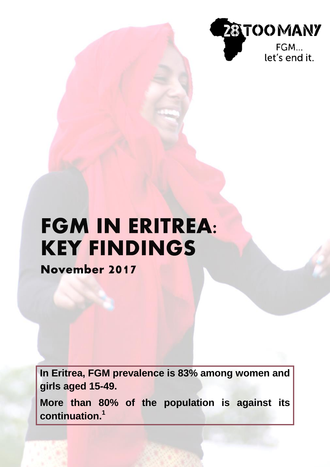

# **FGM IN ERITREA: KEY FINDINGS**

November 2017

**In Eritrea, FGM prevalence is 83% among women and girls aged 15-49.**

**More than 80% of the population is against its continuation. 1**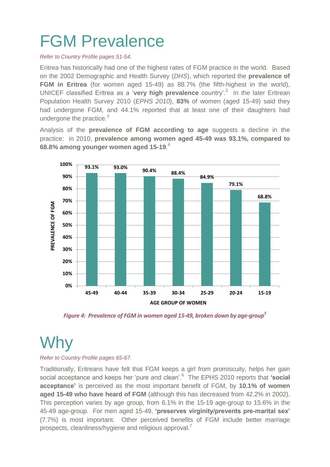## FGM Prevalence

*Refer to Country Profile pages 51-54.*

Eritrea has historically had one of the highest rates of FGM practice in the world. Based on the 2002 Demographic and Health Survey (*DHS*), which reported the **prevalence of FGM in Eritrea** (for women aged 15-49) as 88.7% (the fifth-highest in the world), UNICEF classified Eritrea as a 'very high prevalence country'.<sup>2</sup> In the later Eritrean Population Health Survey 2010 (*EPHS 2010*), **83%** of women (aged 15-49) said they had undergone FGM, and 44.1% reported that at least one of their daughters had undergone the practice.<sup>3</sup>

Analysis of the **prevalence of FGM according to age** suggests a decline in the practice: in 2010, **prevalence among women aged 45-49 was 93.1%, compared to 68.8% among younger women aged 15-19**. 4



*Figure 4: Prevalence of FGM in women aged 15-49, broken down by age-group<sup>5</sup>*

### Why

*Refer to Country Profile pages 65-67.*

Traditionally, Eritreans have felt that FGM keeps a girl from promiscuity, helps her gain social acceptance and keeps her 'pure and clean'.<sup>6</sup> The EPHS 2010 reports that 'social **acceptance'** is perceived as the most important benefit of FGM, by **10.1% of women aged 15-49 who have heard of FGM** (although this has decreased from 42.2% in 2002). This perception varies by age group, from 6.1% in the 15-19 age-group to 15.6% in the 45-49 age-group. For men aged 15-49, **'preserves virginity/prevents pre-marital sex'** (7.7%) is most important. Other perceived benefits of FGM include better marriage prospects, cleanliness/hygiene and religious approval.<sup>7</sup>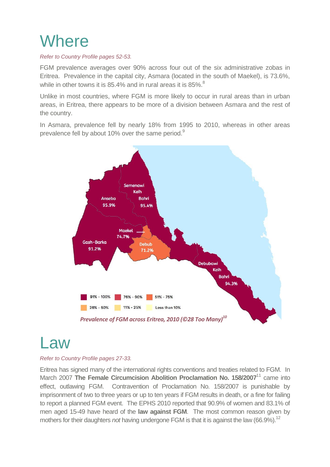#### **Where**

#### *Refer to Country Profile pages 52-53.*

FGM prevalence averages over 90% across four out of the six administrative zobas in Eritrea. Prevalence in the capital city, Asmara (located in the south of Maekel), is 73.6%, while in other towns it is 85.4% and in rural areas it is 85%.<sup>8</sup>

Unlike in most countries, where FGM is more likely to occur in rural areas than in urban areas, in Eritrea, there appears to be more of a division between Asmara and the rest of the country.

In Asmara, prevalence fell by nearly 18% from 1995 to 2010, whereas in other areas prevalence fell by about 10% over the same period.<sup>9</sup>



#### Law

#### *Refer to Country Profile pages 27-33.*

Eritrea has signed many of the international rights conventions and treaties related to FGM. In March 2007 **The Female Circumcision Abolition Proclamation No. 158/2007**<sup>11</sup> came into effect, outlawing FGM. Contravention of Proclamation No. 158/2007 is punishable by imprisonment of two to three years or up to ten years if FGM results in death, or a fine for failing to report a planned FGM event. The EPHS 2010 reported that 90.9% of women and 83.1% of men aged 15-49 have heard of the **law against FGM**. The most common reason given by mothers for their daughters *not* having undergone FGM is that it is against the law (66.9%).<sup>12</sup>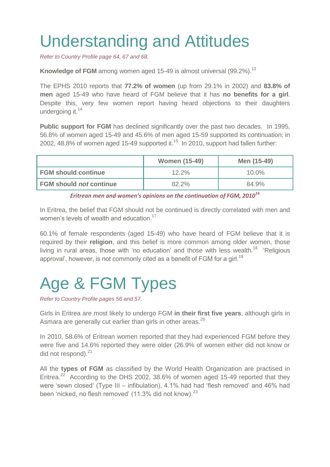### Understanding and Attitudes

*Refer to Country Profile page 64, 67 and 68.*

**Knowledge of FGM** among women aged 15-49 is almost universal (99.2%).<sup>13</sup>

The EPHS 2010 reports that **77.2% of women** (up from 29.1% in 2002) and **83.8% of men** aged 15-49 who have heard of FGM believe that it has **no benefits for a girl**. Despite this, very few women report having heard objections to their daughters undergoing it. $14$ 

**Public support for FGM** has declined significantly over the past two decades. In 1995, 56.8% of women aged 15-49 and 45.6% of men aged 15-59 supported its continuation; in 2002, 48.8% of women aged 15-49 supported it.<sup>15</sup> In 2010, support had fallen further:

|                                | <b>Women (15-49)</b> | Men (15-49) |
|--------------------------------|----------------------|-------------|
| <b>FGM should continue</b>     | $12.2\%$             | $10.0\%$    |
| <b>FGM should not continue</b> | $82.2\%$             | 84.9%       |

*Eritrean men and women's opinions on the continuation of FGM, 2010<sup>16</sup>*

In Eritrea, the belief that FGM should not be continued is directly correlated with men and women's levels of wealth and education.<sup>17</sup>

60.1% of female respondents (aged 15-49) who have heard of FGM believe that it is required by their **religion**, and this belief is more common among older women, those living in rural areas, those with 'no education' and those with less wealth.<sup>18</sup> 'Religious approval', however, is not commonly cited as a benefit of FGM for a girl.<sup>19</sup>

# Age & FGM Types

*Refer to Country Profile pages 56 and 57.*

Girls in Eritrea are most likely to undergo FGM **in their first five years**, although girls in Asmara are generally cut earlier than girls in other areas. $^{20}$ 

In 2010, 58.6% of Eritrean women reported that they had experienced FGM before they were five and 14.6% reported they were older (26.9% of women either did not know or did not respond).<sup>21</sup>

All the **types of FGM** as classified by the World Health Organization are practised in Eritrea.<sup>22</sup> According to the DHS 2002, 38.6% of women aged 15-49 reported that they were 'sewn closed' (Type III – infibulation), 4.1% had had 'flesh removed' and 46% had been 'nicked, no flesh removed'  $(11.3\%$  did not know).<sup>23</sup>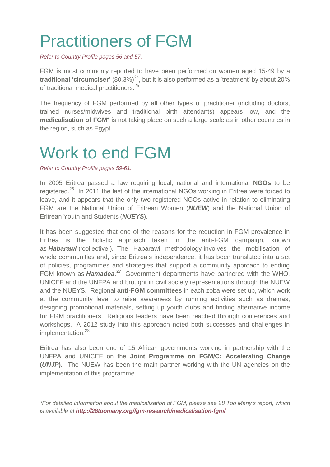### Practitioners of FGM

*Refer to Country Profile pages 56 and 57.*

FGM is most commonly reported to have been performed on women aged 15-49 by a **traditional 'circumciser'** (80.3%)<sup>24</sup>, but it is also performed as a 'treatment' by about 20% of traditional medical practitioners.<sup>25</sup>

The frequency of FGM performed by all other types of practitioner (including doctors, trained nurses/midwives and traditional birth attendants) appears low, and the **medicalisation of FGM**\* is not taking place on such a large scale as in other countries in the region, such as Egypt.

#### Work to end FGM

*Refer to Country Profile pages 59-61.*

In 2005 Eritrea passed a law requiring local, national and international **NGOs** to be registered.<sup>26</sup> In 2011 the last of the international NGOs working in Eritrea were forced to leave, and it appears that the only two registered NGOs active in relation to eliminating FGM are the National Union of Eritrean Women (*NUEW*) and the National Union of Eritrean Youth and Students (*NUEYS*).

It has been suggested that one of the reasons for the reduction in FGM prevalence in Eritrea is the holistic approach taken in the anti-FGM campaign, known as *Habarawi* ('collective'). The Habarawi methodology involves the mobilisation of whole communities and, since Eritrea's independence, it has been translated into a set of policies, programmes and strategies that support a community approach to ending FGM known as **Hamadea**.<sup>27</sup> Government departments have partnered with the WHO, UNICEF and the UNFPA and brought in civil society representations through the NUEW and the NUEYS. Regional **anti-FGM committees** in each zoba were set up, which work at the community level to raise awareness by running activities such as dramas, designing promotional materials, setting up youth clubs and finding alternative income for FGM practitioners. Religious leaders have been reached through conferences and workshops. A 2012 study into this approach noted both successes and challenges in implementation.<sup>28</sup>

Eritrea has also been one of 15 African governments working in partnership with the UNFPA and UNICEF on the **Joint Programme on FGM/C: Accelerating Change (***UNJP***)**. The NUEW has been the main partner working with the UN agencies on the implementation of this programme.

*\*For detailed information about the medicalisation of FGM, please see 28 Too Many's report, which is available at <http://28toomany.org/fgm-research/medicalisation-fgm/>.*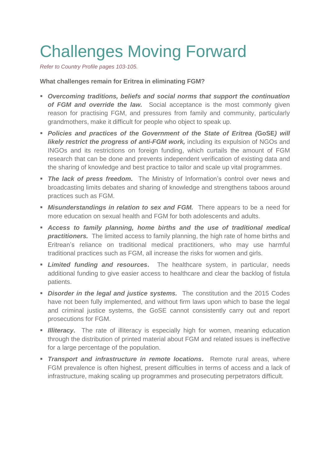## Challenges Moving Forward

*Refer to Country Profile pages 103-105.*

#### **What challenges remain for Eritrea in eliminating FGM?**

- *Overcoming traditions, beliefs and social norms that support the continuation of FGM and override the law.* Social acceptance is the most commonly given reason for practising FGM, and pressures from family and community, particularly grandmothers, make it difficult for people who object to speak up.
- *Policies and practices of the Government of the State of Eritrea (***GoSE***) will likely restrict the progress of anti-FGM work,* including its expulsion of NGOs and INGOs and its restrictions on foreign funding, which curtails the amount of FGM research that can be done and prevents independent verification of existing data and the sharing of knowledge and best practice to tailor and scale up vital programmes.
- *The lack of press freedom.* The Ministry of Information's control over news and broadcasting limits debates and sharing of knowledge and strengthens taboos around practices such as FGM.
- **Misunderstandings in relation to sex and FGM.** There appears to be a need for more education on sexual health and FGM for both adolescents and adults.
- *Access to family planning, home births and the use of traditional medical*  **practitioners.** The limited access to family planning, the high rate of home births and Eritrean's reliance on traditional medical practitioners, who may use harmful traditional practices such as FGM, all increase the risks for women and girls.
- *Limited funding and resources***.** The healthcare system, in particular, needs additional funding to give easier access to healthcare and clear the backlog of fistula patients.
- *Disorder in the legal and justice systems.* The constitution and the 2015 Codes have not been fully implemented, and without firm laws upon which to base the legal and criminal justice systems, the GoSE cannot consistently carry out and report prosecutions for FGM.
- **Illiteracy.** The rate of illiteracy is especially high for women, meaning education through the distribution of printed material about FGM and related issues is ineffective for a large percentage of the population.
- *Transport and infrastructure in remote locations***.** Remote rural areas, where FGM prevalence is often highest, present difficulties in terms of access and a lack of infrastructure, making scaling up programmes and prosecuting perpetrators difficult.